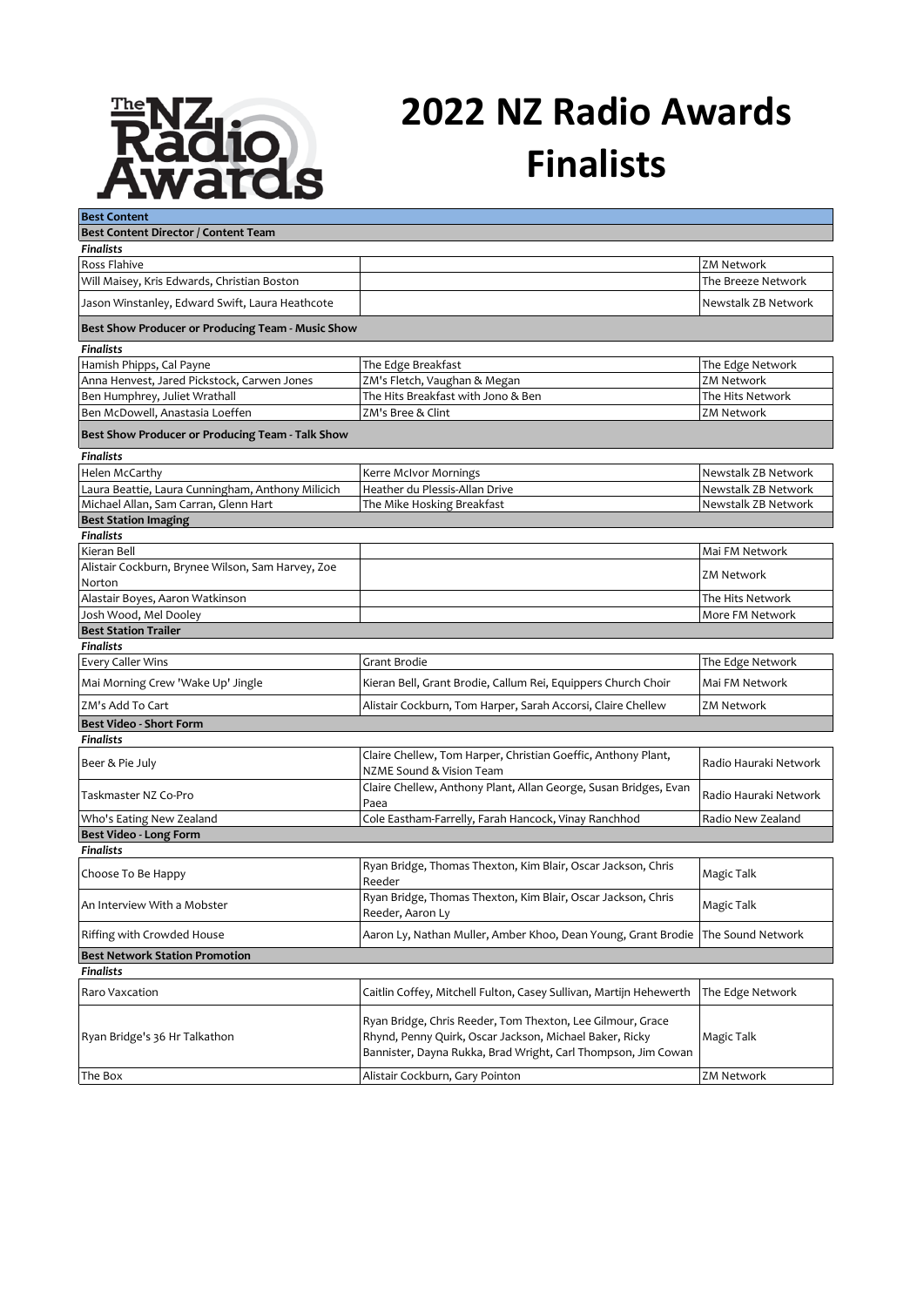

## **2022 NZ Radio Awards Finalists**

| <b>Best Content</b>                                      |                                                                                                                          |                       |
|----------------------------------------------------------|--------------------------------------------------------------------------------------------------------------------------|-----------------------|
| Best Content Director / Content Team                     |                                                                                                                          |                       |
| <b>Finalists</b>                                         |                                                                                                                          |                       |
| Ross Flahive                                             |                                                                                                                          | <b>ZM Network</b>     |
| Will Maisey, Kris Edwards, Christian Boston              |                                                                                                                          | The Breeze Network    |
| Jason Winstanley, Edward Swift, Laura Heathcote          |                                                                                                                          | Newstalk ZB Network   |
| Best Show Producer or Producing Team - Music Show        |                                                                                                                          |                       |
| <b>Finalists</b>                                         |                                                                                                                          |                       |
| Hamish Phipps, Cal Payne                                 | The Edge Breakfast                                                                                                       | The Edge Network      |
| Anna Henvest, Jared Pickstock, Carwen Jones              | ZM's Fletch, Vaughan & Megan                                                                                             | <b>ZM Network</b>     |
| Ben Humphrey, Juliet Wrathall                            | The Hits Breakfast with Jono & Ben                                                                                       | The Hits Network      |
| Ben McDowell, Anastasia Loeffen                          | ZM's Bree & Clint                                                                                                        | <b>ZM Network</b>     |
| Best Show Producer or Producing Team - Talk Show         |                                                                                                                          |                       |
| <b>Finalists</b>                                         |                                                                                                                          |                       |
| Helen McCarthy                                           | Kerre McIvor Mornings                                                                                                    | Newstalk ZB Network   |
| Laura Beattie, Laura Cunningham, Anthony Milicich        | Heather du Plessis-Allan Drive                                                                                           | Newstalk ZB Network   |
| Michael Allan, Sam Carran, Glenn Hart                    | The Mike Hosking Breakfast                                                                                               | Newstalk ZB Network   |
| <b>Best Station Imaging</b>                              |                                                                                                                          |                       |
| <b>Finalists</b>                                         |                                                                                                                          |                       |
| Kieran Bell                                              |                                                                                                                          | Mai FM Network        |
| Alistair Cockburn, Brynee Wilson, Sam Harvey, Zoe        |                                                                                                                          | <b>ZM Network</b>     |
| Norton                                                   |                                                                                                                          |                       |
| Alastair Boyes, Aaron Watkinson<br>Josh Wood, Mel Dooley |                                                                                                                          | The Hits Network      |
|                                                          |                                                                                                                          | More FM Network       |
| <b>Best Station Trailer</b><br><b>Finalists</b>          |                                                                                                                          |                       |
| <b>Every Caller Wins</b>                                 | Grant Brodie                                                                                                             | The Edge Network      |
| Mai Morning Crew 'Wake Up' Jingle                        | Kieran Bell, Grant Brodie, Callum Rei, Equippers Church Choir                                                            | Mai FM Network        |
| ZM's Add To Cart                                         | Alistair Cockburn, Tom Harper, Sarah Accorsi, Claire Chellew                                                             | <b>ZM Network</b>     |
| <b>Best Video - Short Form</b>                           |                                                                                                                          |                       |
| <b>Finalists</b>                                         |                                                                                                                          |                       |
| Beer & Pie July                                          | Claire Chellew, Tom Harper, Christian Goeffic, Anthony Plant,<br>NZME Sound & Vision Team                                | Radio Hauraki Network |
| Taskmaster NZ Co-Pro                                     | Claire Chellew, Anthony Plant, Allan George, Susan Bridges, Evan                                                         | Radio Hauraki Network |
|                                                          | Paea                                                                                                                     |                       |
| Who's Eating New Zealand                                 | Cole Eastham-Farrelly, Farah Hancock, Vinay Ranchhod                                                                     | Radio New Zealand     |
| Best Video - Long Form<br><b>Finalists</b>               |                                                                                                                          |                       |
| Choose To Be Happy                                       | Ryan Bridge, Thomas Thexton, Kim Blair, Oscar Jackson, Chris                                                             | Magic Talk            |
|                                                          | Reeder<br>Ryan Bridge, Thomas Thexton, Kim Blair, Oscar Jackson, Chris                                                   |                       |
| An Interview With a Mobster                              | Reeder, Aaron Ly                                                                                                         | Magic Talk            |
| Riffing with Crowded House                               | Aaron Ly, Nathan Muller, Amber Khoo, Dean Young, Grant Brodie                                                            | The Sound Network     |
| <b>Best Network Station Promotion</b>                    |                                                                                                                          |                       |
| <b>Finalists</b>                                         |                                                                                                                          |                       |
| Raro Vaxcation                                           | Caitlin Coffey, Mitchell Fulton, Casey Sullivan, Martijn Hehewerth                                                       | The Edge Network      |
|                                                          | Ryan Bridge, Chris Reeder, Tom Thexton, Lee Gilmour, Grace                                                               |                       |
| Ryan Bridge's 36 Hr Talkathon                            | Rhynd, Penny Quirk, Oscar Jackson, Michael Baker, Ricky<br>Bannister, Dayna Rukka, Brad Wright, Carl Thompson, Jim Cowan | Magic Talk            |
| The Box                                                  | Alistair Cockburn, Gary Pointon                                                                                          | <b>ZM Network</b>     |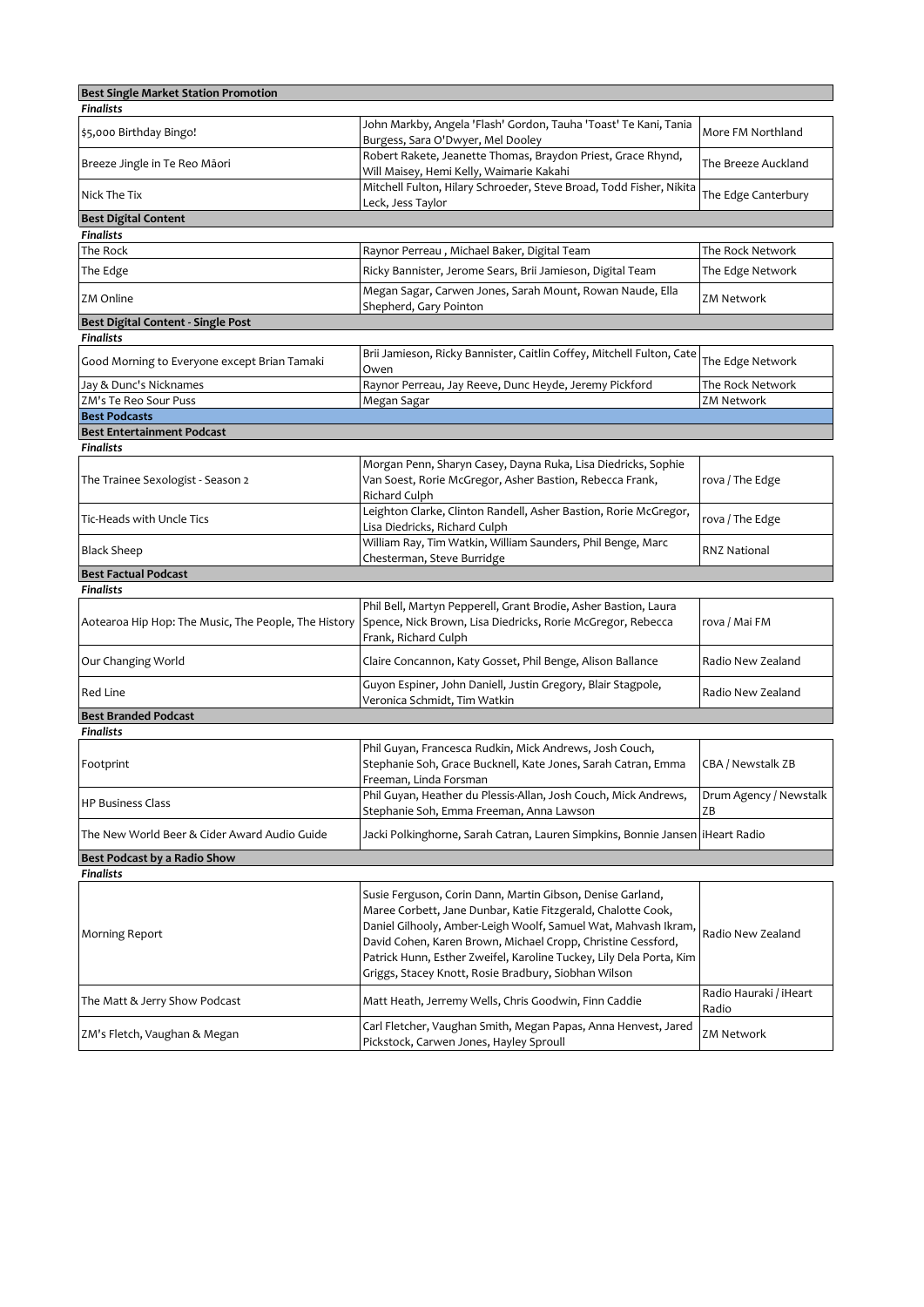| <b>Best Single Market Station Promotion</b>          |                                                                                                                                                                                                                                                                                                                                                                                             |                                 |
|------------------------------------------------------|---------------------------------------------------------------------------------------------------------------------------------------------------------------------------------------------------------------------------------------------------------------------------------------------------------------------------------------------------------------------------------------------|---------------------------------|
| <b>Finalists</b>                                     |                                                                                                                                                                                                                                                                                                                                                                                             |                                 |
| \$5,000 Birthday Bingo!                              | John Markby, Angela 'Flash' Gordon, Tauha 'Toast' Te Kani, Tania<br>Burgess, Sara O'Dwyer, Mel Dooley                                                                                                                                                                                                                                                                                       | More FM Northland               |
| Breeze Jingle in Te Reo Māori                        | Robert Rakete, Jeanette Thomas, Braydon Priest, Grace Rhynd,<br>Will Maisey, Hemi Kelly, Waimarie Kakahi                                                                                                                                                                                                                                                                                    | The Breeze Auckland             |
| Nick The Tix                                         | Mitchell Fulton, Hilary Schroeder, Steve Broad, Todd Fisher, Nikita<br>Leck, Jess Taylor                                                                                                                                                                                                                                                                                                    | The Edge Canterbury             |
| <b>Best Digital Content</b>                          |                                                                                                                                                                                                                                                                                                                                                                                             |                                 |
| <b>Finalists</b>                                     |                                                                                                                                                                                                                                                                                                                                                                                             |                                 |
| The Rock                                             | Raynor Perreau, Michael Baker, Digital Team                                                                                                                                                                                                                                                                                                                                                 | The Rock Network                |
| The Edge                                             | Ricky Bannister, Jerome Sears, Brii Jamieson, Digital Team                                                                                                                                                                                                                                                                                                                                  | The Edge Network                |
| ZM Online                                            | Megan Sagar, Carwen Jones, Sarah Mount, Rowan Naude, Ella<br>Shepherd, Gary Pointon                                                                                                                                                                                                                                                                                                         | <b>ZM Network</b>               |
| <b>Best Digital Content - Single Post</b>            |                                                                                                                                                                                                                                                                                                                                                                                             |                                 |
| <b>Finalists</b>                                     |                                                                                                                                                                                                                                                                                                                                                                                             |                                 |
| Good Morning to Everyone except Brian Tamaki         | Brii Jamieson, Ricky Bannister, Caitlin Coffey, Mitchell Fulton, Cate<br>Owen                                                                                                                                                                                                                                                                                                               | The Edge Network                |
| Jay & Dunc's Nicknames                               | Raynor Perreau, Jay Reeve, Dunc Heyde, Jeremy Pickford                                                                                                                                                                                                                                                                                                                                      | The Rock Network                |
| ZM's Te Reo Sour Puss                                | Megan Sagar                                                                                                                                                                                                                                                                                                                                                                                 | <b>ZM Network</b>               |
| <b>Best Podcasts</b>                                 |                                                                                                                                                                                                                                                                                                                                                                                             |                                 |
| <b>Best Entertainment Podcast</b>                    |                                                                                                                                                                                                                                                                                                                                                                                             |                                 |
| <b>Finalists</b>                                     |                                                                                                                                                                                                                                                                                                                                                                                             |                                 |
| The Trainee Sexologist - Season 2                    | Morgan Penn, Sharyn Casey, Dayna Ruka, Lisa Diedricks, Sophie<br>Van Soest, Rorie McGregor, Asher Bastion, Rebecca Frank,<br>Richard Culph                                                                                                                                                                                                                                                  | rova / The Edge                 |
| Tic-Heads with Uncle Tics                            | Leighton Clarke, Clinton Randell, Asher Bastion, Rorie McGregor,<br>Lisa Diedricks, Richard Culph                                                                                                                                                                                                                                                                                           | rova / The Edge                 |
| <b>Black Sheep</b>                                   | William Ray, Tim Watkin, William Saunders, Phil Benge, Marc<br>Chesterman, Steve Burridge                                                                                                                                                                                                                                                                                                   | <b>RNZ National</b>             |
| <b>Best Factual Podcast</b>                          |                                                                                                                                                                                                                                                                                                                                                                                             |                                 |
| <b>Finalists</b>                                     |                                                                                                                                                                                                                                                                                                                                                                                             |                                 |
| Aotearoa Hip Hop: The Music, The People, The History | Phil Bell, Martyn Pepperell, Grant Brodie, Asher Bastion, Laura<br>Spence, Nick Brown, Lisa Diedricks, Rorie McGregor, Rebecca<br>Frank, Richard Culph                                                                                                                                                                                                                                      | rova / Mai FM                   |
| Our Changing World                                   | Claire Concannon, Katy Gosset, Phil Benge, Alison Ballance                                                                                                                                                                                                                                                                                                                                  | Radio New Zealand               |
| Red Line                                             | Guyon Espiner, John Daniell, Justin Gregory, Blair Stagpole,<br>Veronica Schmidt, Tim Watkin                                                                                                                                                                                                                                                                                                | Radio New Zealand               |
| <b>Best Branded Podcast</b>                          |                                                                                                                                                                                                                                                                                                                                                                                             |                                 |
| <b>Finalists</b>                                     |                                                                                                                                                                                                                                                                                                                                                                                             |                                 |
| Footprint                                            | Phil Guyan, Francesca Rudkin, Mick Andrews, Josh Couch,<br>Stephanie Soh, Grace Bucknell, Kate Jones, Sarah Catran, Emma<br>Freeman, Linda Forsman                                                                                                                                                                                                                                          | CBA / Newstalk ZB               |
| <b>HP Business Class</b>                             | Phil Guyan, Heather du Plessis-Allan, Josh Couch, Mick Andrews,<br>Stephanie Soh, Emma Freeman, Anna Lawson                                                                                                                                                                                                                                                                                 | Drum Agency / Newstalk<br>ZΒ    |
| The New World Beer & Cider Award Audio Guide         | Jacki Polkinghorne, Sarah Catran, Lauren Simpkins, Bonnie Jansen liHeart Radio                                                                                                                                                                                                                                                                                                              |                                 |
| Best Podcast by a Radio Show                         |                                                                                                                                                                                                                                                                                                                                                                                             |                                 |
| Finalists                                            |                                                                                                                                                                                                                                                                                                                                                                                             |                                 |
| <b>Morning Report</b>                                | Susie Ferguson, Corin Dann, Martin Gibson, Denise Garland,<br>Maree Corbett, Jane Dunbar, Katie Fitzgerald, Chalotte Cook,<br>Daniel Gilhooly, Amber-Leigh Woolf, Samuel Wat, Mahvash Ikram,<br>David Cohen, Karen Brown, Michael Cropp, Christine Cessford,<br>Patrick Hunn, Esther Zweifel, Karoline Tuckey, Lily Dela Porta, Kim<br>Griggs, Stacey Knott, Rosie Bradbury, Siobhan Wilson | Radio New Zealand               |
| The Matt & Jerry Show Podcast                        | Matt Heath, Jerremy Wells, Chris Goodwin, Finn Caddie                                                                                                                                                                                                                                                                                                                                       | Radio Hauraki / iHeart<br>Radio |
| ZM's Fletch, Vaughan & Megan                         | Carl Fletcher, Vaughan Smith, Megan Papas, Anna Henvest, Jared<br>Pickstock, Carwen Jones, Hayley Sproull                                                                                                                                                                                                                                                                                   | <b>ZM Network</b>               |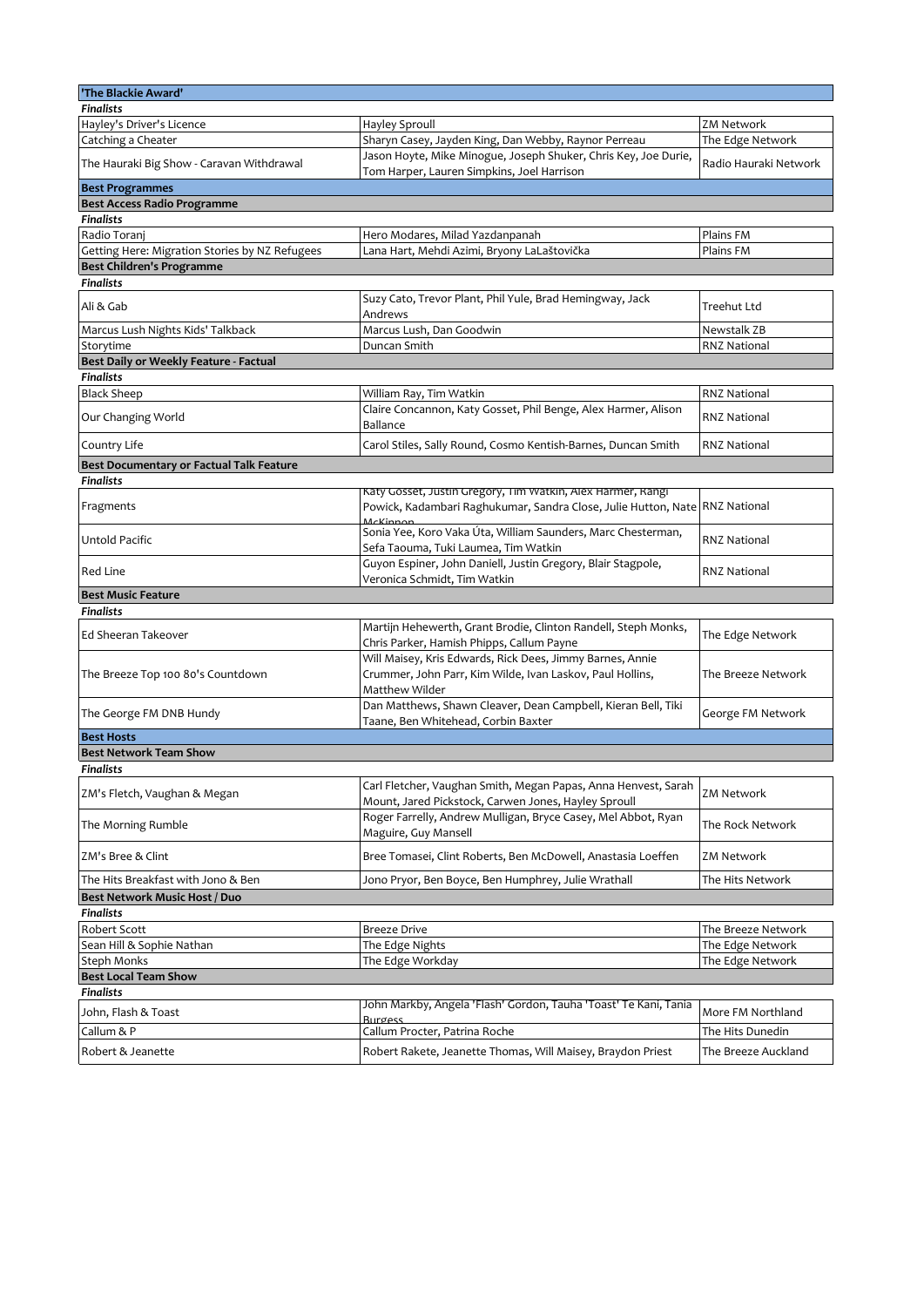| 'The Blackie Award'                             |                                                                                                                                                        |                       |
|-------------------------------------------------|--------------------------------------------------------------------------------------------------------------------------------------------------------|-----------------------|
| <b>Finalists</b>                                |                                                                                                                                                        |                       |
| Hayley's Driver's Licence                       | Hayley Sproull                                                                                                                                         | ZM Network            |
| Catching a Cheater                              | Sharyn Casey, Jayden King, Dan Webby, Raynor Perreau                                                                                                   | The Edge Network      |
| The Hauraki Big Show - Caravan Withdrawal       | Jason Hoyte, Mike Minogue, Joseph Shuker, Chris Key, Joe Durie,<br>Tom Harper, Lauren Simpkins, Joel Harrison                                          | Radio Hauraki Network |
| <b>Best Programmes</b>                          |                                                                                                                                                        |                       |
| <b>Best Access Radio Programme</b>              |                                                                                                                                                        |                       |
| <b>Finalists</b>                                |                                                                                                                                                        |                       |
| Radio Toranj                                    | Hero Modares, Milad Yazdanpanah                                                                                                                        | Plains FM             |
| Getting Here: Migration Stories by NZ Refugees  | Lana Hart, Mehdi Azimi, Bryony LaLaštovička                                                                                                            | Plains FM             |
| Best Children's Programme                       |                                                                                                                                                        |                       |
| <b>Finalists</b>                                |                                                                                                                                                        |                       |
| Ali & Gab                                       | Suzy Cato, Trevor Plant, Phil Yule, Brad Hemingway, Jack<br>Andrews                                                                                    | <b>Treehut Ltd</b>    |
| Marcus Lush Nights Kids' Talkback               | Marcus Lush, Dan Goodwin                                                                                                                               | Newstalk ZB           |
| Storytime                                       | Duncan Smith                                                                                                                                           | <b>RNZ National</b>   |
| Best Daily or Weekly Feature - Factual          |                                                                                                                                                        |                       |
| <b>Finalists</b>                                |                                                                                                                                                        |                       |
| <b>Black Sheep</b>                              | William Ray, Tim Watkin                                                                                                                                | <b>RNZ National</b>   |
| Our Changing World                              | Claire Concannon, Katy Gosset, Phil Benge, Alex Harmer, Alison<br>Ballance                                                                             | <b>RNZ National</b>   |
| Country Life                                    | Carol Stiles, Sally Round, Cosmo Kentish-Barnes, Duncan Smith                                                                                          | RNZ National          |
| <b>Best Documentary or Factual Talk Feature</b> |                                                                                                                                                        |                       |
| <b>Finalists</b>                                |                                                                                                                                                        |                       |
| Fragments                                       | Katy Gosset, Justin Gregory, Tim Watkin, Alex Harmer, Kangi<br>Powick, Kadambari Raghukumar, Sandra Close, Julie Hutton, Nate RNZ National<br>McKinnon |                       |
| Untold Pacific                                  | Sonia Yee, Koro Vaka Úta, William Saunders, Marc Chesterman,<br>Sefa Taouma, Tuki Laumea, Tim Watkin                                                   | <b>RNZ National</b>   |
| Red Line                                        | Guyon Espiner, John Daniell, Justin Gregory, Blair Stagpole,<br>Veronica Schmidt, Tim Watkin                                                           | <b>RNZ National</b>   |
| <b>Best Music Feature</b>                       |                                                                                                                                                        |                       |
| <b>Finalists</b>                                |                                                                                                                                                        |                       |
| Ed Sheeran Takeover                             | Martijn Hehewerth, Grant Brodie, Clinton Randell, Steph Monks,<br>Chris Parker, Hamish Phipps, Callum Payne                                            | The Edge Network      |
| The Breeze Top 100 80's Countdown               | Will Maisey, Kris Edwards, Rick Dees, Jimmy Barnes, Annie<br>Crummer, John Parr, Kim Wilde, Ivan Laskov, Paul Hollins,<br>Matthew Wilder               | The Breeze Network    |
| The George FM DNB Hundy                         | Dan Matthews, Shawn Cleaver, Dean Campbell, Kieran Bell, Tiki<br>Taane, Ben Whitehead, Corbin Baxter                                                   | George FM Network     |
| <b>Best Hosts</b>                               |                                                                                                                                                        |                       |
| <b>Best Network Team Show</b>                   |                                                                                                                                                        |                       |
| <b>Finalists</b>                                |                                                                                                                                                        |                       |
| ZM's Fletch, Vaughan & Megan                    | Carl Fletcher, Vaughan Smith, Megan Papas, Anna Henvest, Sarah<br>Mount, Jared Pickstock, Carwen Jones, Hayley Sproull                                 | <b>ZM Network</b>     |
| The Morning Rumble                              | Roger Farrelly, Andrew Mulligan, Bryce Casey, Mel Abbot, Ryan<br>Maguire, Guy Mansell                                                                  | The Rock Network      |
| ZM's Bree & Clint                               | Bree Tomasei, Clint Roberts, Ben McDowell, Anastasia Loeffen                                                                                           | <b>ZM Network</b>     |
| The Hits Breakfast with Jono & Ben              | Jono Pryor, Ben Boyce, Ben Humphrey, Julie Wrathall                                                                                                    | The Hits Network      |
| Best Network Music Host / Duo                   |                                                                                                                                                        |                       |
| <b>Finalists</b>                                |                                                                                                                                                        |                       |
| Robert Scott                                    | Breeze Drive                                                                                                                                           | The Breeze Network    |
| Sean Hill & Sophie Nathan                       | The Edge Nights                                                                                                                                        | The Edge Network      |
| Steph Monks                                     | The Edge Workday                                                                                                                                       | The Edge Network      |
| <b>Best Local Team Show</b><br><b>Finalists</b> |                                                                                                                                                        |                       |
|                                                 | John Markby, Angela 'Flash' Gordon, Tauha 'Toast' Te Kani, Tania                                                                                       |                       |
| John, Flash & Toast                             | <b>Burgess</b>                                                                                                                                         | More FM Northland     |
| Callum & P                                      | Callum Procter, Patrina Roche                                                                                                                          | The Hits Dunedin      |
| Robert & Jeanette                               | Robert Rakete, Jeanette Thomas, Will Maisey, Braydon Priest                                                                                            | The Breeze Auckland   |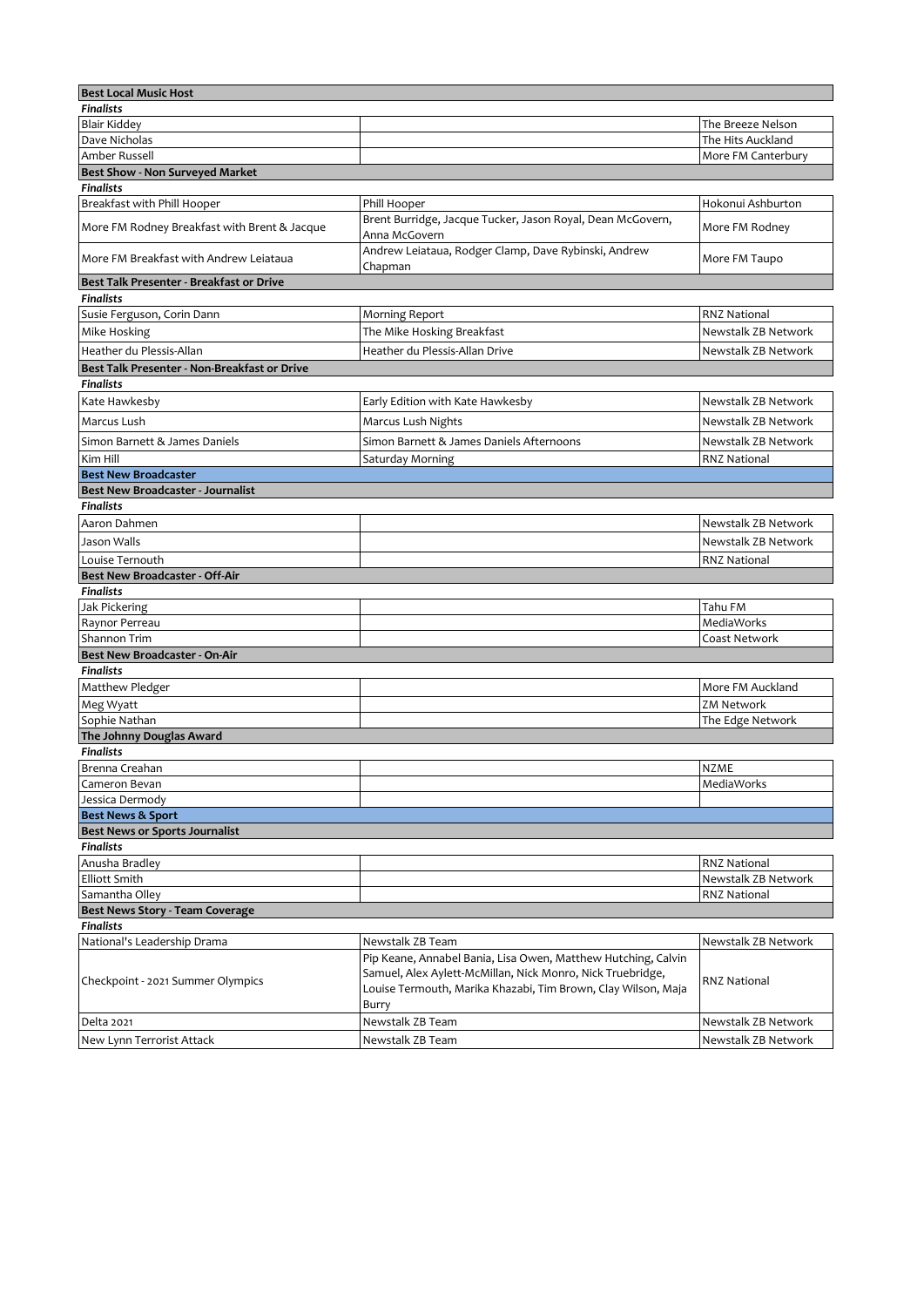| <b>Best Local Music Host</b>                              |                                                                                                                                                                                                       |                     |
|-----------------------------------------------------------|-------------------------------------------------------------------------------------------------------------------------------------------------------------------------------------------------------|---------------------|
| <b>Finalists</b>                                          |                                                                                                                                                                                                       |                     |
| <b>Blair Kiddey</b>                                       |                                                                                                                                                                                                       | The Breeze Nelson   |
| Dave Nicholas                                             |                                                                                                                                                                                                       | The Hits Auckland   |
| Amber Russell                                             |                                                                                                                                                                                                       | More FM Canterbury  |
| Best Show - Non Surveyed Market                           |                                                                                                                                                                                                       |                     |
| <b>Finalists</b>                                          |                                                                                                                                                                                                       |                     |
| Breakfast with Phill Hooper                               | Phill Hooper                                                                                                                                                                                          | Hokonui Ashburton   |
| More FM Rodney Breakfast with Brent & Jacque              | Brent Burridge, Jacque Tucker, Jason Royal, Dean McGovern,<br>Anna McGovern                                                                                                                           | More FM Rodney      |
| More FM Breakfast with Andrew Leiataua                    | Andrew Leiataua, Rodger Clamp, Dave Rybinski, Andrew<br>Chapman                                                                                                                                       | More FM Taupo       |
| Best Talk Presenter - Breakfast or Drive                  |                                                                                                                                                                                                       |                     |
| <b>Finalists</b>                                          |                                                                                                                                                                                                       |                     |
| Susie Ferguson, Corin Dann                                | <b>Morning Report</b>                                                                                                                                                                                 | <b>RNZ National</b> |
| Mike Hosking                                              | The Mike Hosking Breakfast                                                                                                                                                                            | Newstalk ZB Network |
| Heather du Plessis-Allan                                  |                                                                                                                                                                                                       |                     |
|                                                           | Heather du Plessis-Allan Drive                                                                                                                                                                        | Newstalk ZB Network |
| Best Talk Presenter - Non-Breakfast or Drive              |                                                                                                                                                                                                       |                     |
| <b>Finalists</b>                                          |                                                                                                                                                                                                       |                     |
| Kate Hawkesby                                             | Early Edition with Kate Hawkesby                                                                                                                                                                      | Newstalk ZB Network |
| Marcus Lush                                               | Marcus Lush Nights                                                                                                                                                                                    | Newstalk ZB Network |
| Simon Barnett & James Daniels                             | Simon Barnett & James Daniels Afternoons                                                                                                                                                              | Newstalk ZB Network |
| Kim Hill                                                  | Saturday Morning                                                                                                                                                                                      | <b>RNZ National</b> |
| <b>Best New Broadcaster</b>                               |                                                                                                                                                                                                       |                     |
| <b>Best New Broadcaster - Journalist</b>                  |                                                                                                                                                                                                       |                     |
| <b>Finalists</b>                                          |                                                                                                                                                                                                       |                     |
| Aaron Dahmen                                              |                                                                                                                                                                                                       | Newstalk ZB Network |
| Jason Walls                                               |                                                                                                                                                                                                       | Newstalk ZB Network |
| Louise Ternouth                                           |                                                                                                                                                                                                       | <b>RNZ National</b> |
| Best New Broadcaster - Off-Air                            |                                                                                                                                                                                                       |                     |
| <b>Finalists</b>                                          |                                                                                                                                                                                                       |                     |
| Jak Pickering                                             |                                                                                                                                                                                                       | Tahu FM             |
| Raynor Perreau                                            |                                                                                                                                                                                                       | MediaWorks          |
| Shannon Trim                                              |                                                                                                                                                                                                       | Coast Network       |
| <b>Best New Broadcaster - On-Air</b>                      |                                                                                                                                                                                                       |                     |
| <b>Finalists</b>                                          |                                                                                                                                                                                                       |                     |
| Matthew Pledger                                           |                                                                                                                                                                                                       | More FM Auckland    |
| Meg Wyatt                                                 |                                                                                                                                                                                                       | <b>ZM Network</b>   |
| Sophie Nathan                                             |                                                                                                                                                                                                       | The Edge Network    |
| The Johnny Douglas Award                                  |                                                                                                                                                                                                       |                     |
| <b>Finalists</b>                                          |                                                                                                                                                                                                       |                     |
| Brenna Creahan                                            |                                                                                                                                                                                                       | <b>NZME</b>         |
| Cameron Bevan                                             |                                                                                                                                                                                                       | MediaWorks          |
| Jessica Dermody                                           |                                                                                                                                                                                                       |                     |
| <b>Best News &amp; Sport</b>                              |                                                                                                                                                                                                       |                     |
| <b>Best News or Sports Journalist</b><br><b>Finalists</b> |                                                                                                                                                                                                       |                     |
| Anusha Bradley                                            |                                                                                                                                                                                                       | <b>RNZ National</b> |
| <b>Elliott Smith</b>                                      |                                                                                                                                                                                                       | Newstalk ZB Network |
| Samantha Olley                                            |                                                                                                                                                                                                       | <b>RNZ National</b> |
| Best News Story - Team Coverage                           |                                                                                                                                                                                                       |                     |
| <b>Finalists</b>                                          |                                                                                                                                                                                                       |                     |
| National's Leadership Drama                               | Newstalk ZB Team                                                                                                                                                                                      | Newstalk ZB Network |
| Checkpoint - 2021 Summer Olympics                         | Pip Keane, Annabel Bania, Lisa Owen, Matthew Hutching, Calvin<br>Samuel, Alex Aylett-McMillan, Nick Monro, Nick Truebridge,<br>Louise Termouth, Marika Khazabi, Tim Brown, Clay Wilson, Maja<br>Burry | <b>RNZ National</b> |
| Delta 2021                                                | Newstalk ZB Team                                                                                                                                                                                      | Newstalk ZB Network |
| New Lynn Terrorist Attack                                 | Newstalk ZB Team                                                                                                                                                                                      | Newstalk ZB Network |
|                                                           |                                                                                                                                                                                                       |                     |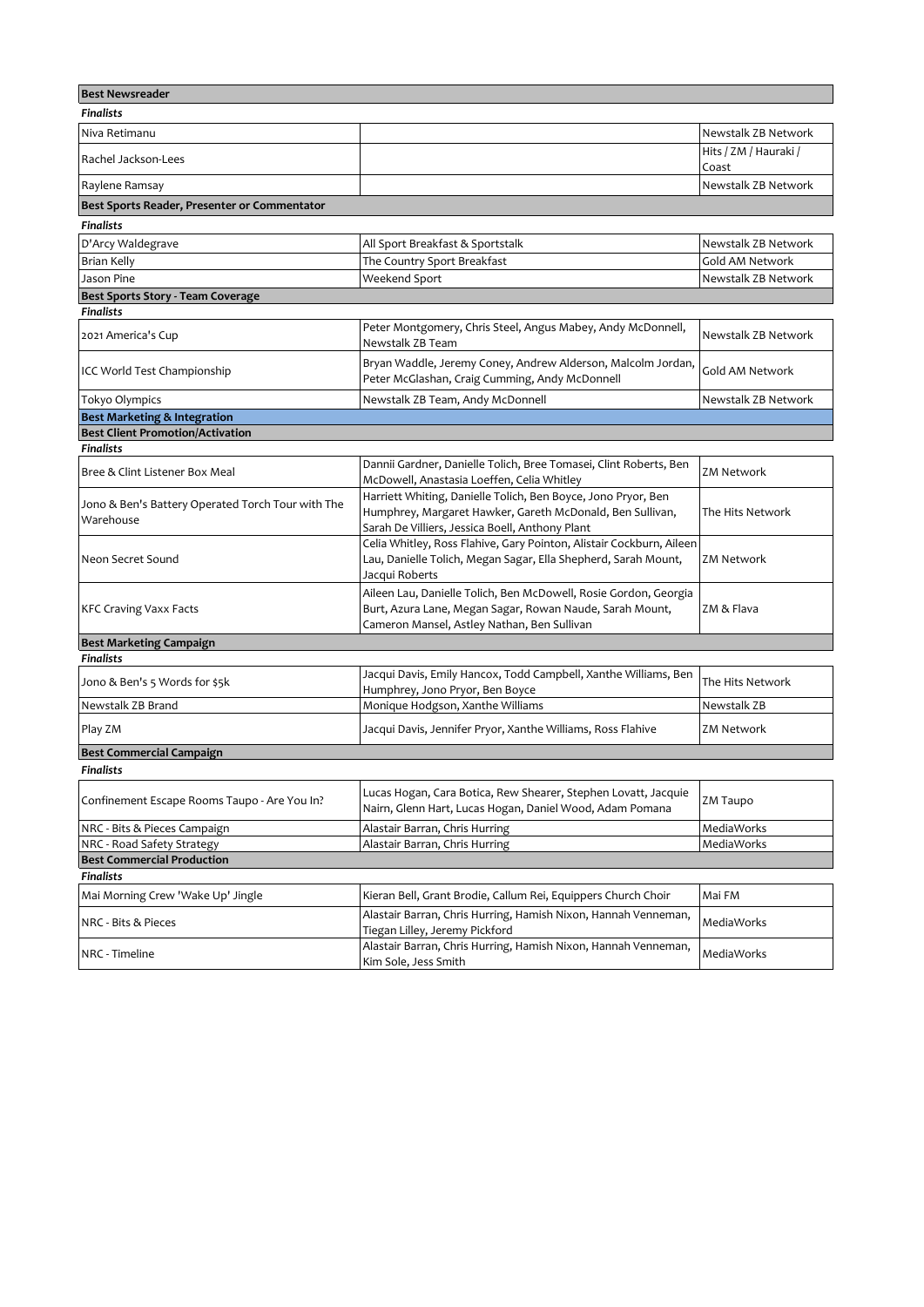| <b>Best Newsreader</b>                                         |                                                                                                                                                                               |                                |
|----------------------------------------------------------------|-------------------------------------------------------------------------------------------------------------------------------------------------------------------------------|--------------------------------|
| <b>Finalists</b>                                               |                                                                                                                                                                               |                                |
| Niva Retimanu                                                  |                                                                                                                                                                               | Newstalk ZB Network            |
| Rachel Jackson-Lees                                            |                                                                                                                                                                               | Hits / ZM / Hauraki /<br>Coast |
| Raylene Ramsay                                                 |                                                                                                                                                                               | Newstalk ZB Network            |
| Best Sports Reader, Presenter or Commentator                   |                                                                                                                                                                               |                                |
| <b>Finalists</b>                                               |                                                                                                                                                                               |                                |
| D'Arcy Waldegrave                                              | All Sport Breakfast & Sportstalk                                                                                                                                              | Newstalk ZB Network            |
| Brian Kelly                                                    | The Country Sport Breakfast                                                                                                                                                   | Gold AM Network                |
| Jason Pine                                                     | Weekend Sport                                                                                                                                                                 | Newstalk ZB Network            |
| Best Sports Story - Team Coverage                              |                                                                                                                                                                               |                                |
| <b>Finalists</b>                                               |                                                                                                                                                                               |                                |
| 2021 America's Cup                                             | Peter Montgomery, Chris Steel, Angus Mabey, Andy McDonnell,<br>Newstalk ZB Team                                                                                               | Newstalk ZB Network            |
| ICC World Test Championship                                    | Bryan Waddle, Jeremy Coney, Andrew Alderson, Malcolm Jordan,<br>Peter McGlashan, Craig Cumming, Andy McDonnell                                                                | Gold AM Network                |
| Tokyo Olympics                                                 | Newstalk ZB Team, Andy McDonnell                                                                                                                                              | Newstalk ZB Network            |
| <b>Best Marketing &amp; Integration</b>                        |                                                                                                                                                                               |                                |
| <b>Best Client Promotion/Activation</b>                        |                                                                                                                                                                               |                                |
| <b>Finalists</b>                                               |                                                                                                                                                                               |                                |
| Bree & Clint Listener Box Meal                                 | Dannii Gardner, Danielle Tolich, Bree Tomasei, Clint Roberts, Ben<br>McDowell, Anastasia Loeffen, Celia Whitley                                                               | <b>ZM Network</b>              |
| Jono & Ben's Battery Operated Torch Tour with The<br>Warehouse | Harriett Whiting, Danielle Tolich, Ben Boyce, Jono Pryor, Ben<br>Humphrey, Margaret Hawker, Gareth McDonald, Ben Sullivan,<br>Sarah De Villiers, Jessica Boell, Anthony Plant | The Hits Network               |
| Neon Secret Sound                                              | Celia Whitley, Ross Flahive, Gary Pointon, Alistair Cockburn, Aileen<br>Lau, Danielle Tolich, Megan Sagar, Ella Shepherd, Sarah Mount,<br>Jacqui Roberts                      | ZM Network                     |
| <b>KFC Craving Vaxx Facts</b>                                  | Aileen Lau, Danielle Tolich, Ben McDowell, Rosie Gordon, Georgia<br>Burt, Azura Lane, Megan Sagar, Rowan Naude, Sarah Mount,<br>Cameron Mansel, Astley Nathan, Ben Sullivan   | ZM & Flava                     |
| <b>Best Marketing Campaign</b>                                 |                                                                                                                                                                               |                                |
| <b>Finalists</b>                                               |                                                                                                                                                                               |                                |
| Jono & Ben's 5 Words for \$5k                                  | Jacqui Davis, Emily Hancox, Todd Campbell, Xanthe Williams, Ben<br>Humphrey, Jono Pryor, Ben Boyce                                                                            | The Hits Network               |
| Newstalk ZB Brand                                              | Monique Hodgson, Xanthe Williams                                                                                                                                              | Newstalk ZB                    |
| Play ZM                                                        | Jacqui Davis, Jennifer Pryor, Xanthe Williams, Ross Flahive                                                                                                                   | ZM Network                     |
| <b>Best Commercial Campaign</b>                                |                                                                                                                                                                               |                                |
| <b>Finalists</b>                                               |                                                                                                                                                                               |                                |
| Confinement Escape Rooms Taupo - Are You In?                   | Lucas Hogan, Cara Botica, Rew Shearer, Stephen Lovatt, Jacquie<br>Nairn, Glenn Hart, Lucas Hogan, Daniel Wood, Adam Pomana                                                    | ZM Taupo                       |
| NRC - Bits & Pieces Campaign                                   | Alastair Barran, Chris Hurring                                                                                                                                                | MediaWorks                     |
| NRC - Road Safety Strategy                                     | Alastair Barran, Chris Hurring                                                                                                                                                | MediaWorks                     |
| <b>Best Commercial Production</b>                              |                                                                                                                                                                               |                                |
| Finalists                                                      |                                                                                                                                                                               |                                |
| Mai Morning Crew 'Wake Up' Jingle                              | Kieran Bell, Grant Brodie, Callum Rei, Equippers Church Choir                                                                                                                 | Mai FM                         |
| NRC - Bits & Pieces                                            | Alastair Barran, Chris Hurring, Hamish Nixon, Hannah Venneman,<br>Tiegan Lilley, Jeremy Pickford                                                                              | MediaWorks                     |
| NRC - Timeline                                                 | Alastair Barran, Chris Hurring, Hamish Nixon, Hannah Venneman,<br>Kim Sole, Jess Smith                                                                                        | MediaWorks                     |